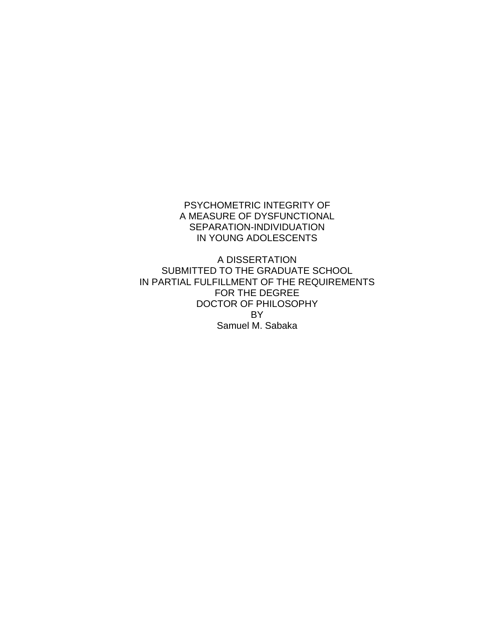PSYCHOMETRIC INTEGRITY OF A MEASURE OF DYSFUNCTIONAL SEPARATION-INDIVIDUATION IN YOUNG ADOLESCENTS

A DISSERTATION SUBMITTED TO THE GRADUATE SCHOOL IN PARTIAL FULFILLMENT OF THE REQUIREMENTS FOR THE DEGREE DOCTOR OF PHILOSOPHY BY Samuel M. Sabaka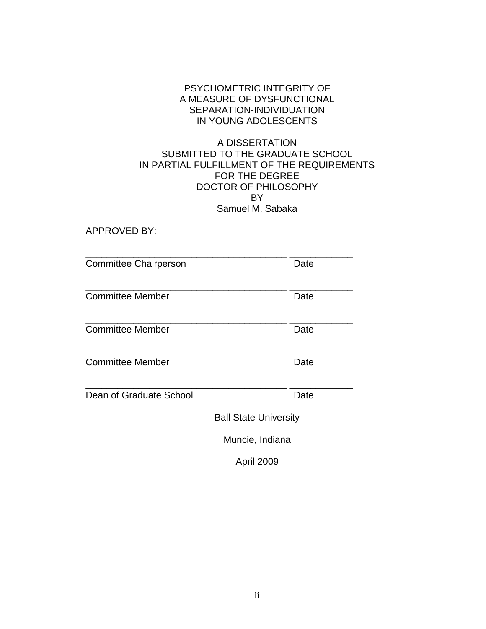### PSYCHOMETRIC INTEGRITY OF A MEASURE OF DYSFUNCTIONAL SEPARATION-INDIVIDUATION IN YOUNG ADOLESCENTS

#### A DISSERTATION SUBMITTED TO THE GRADUATE SCHOOL IN PARTIAL FULFILLMENT OF THE REQUIREMENTS FOR THE DEGREE DOCTOR OF PHILOSOPHY BY Samuel M. Sabaka

APPROVED BY:

| <b>Committee Chairperson</b> | Date                         |
|------------------------------|------------------------------|
| <b>Committee Member</b>      | Date                         |
| <b>Committee Member</b>      | Date                         |
| <b>Committee Member</b>      | Date                         |
| Dean of Graduate School      | Date                         |
|                              | <b>Ball State University</b> |
|                              | Muncie, Indiana              |

April 2009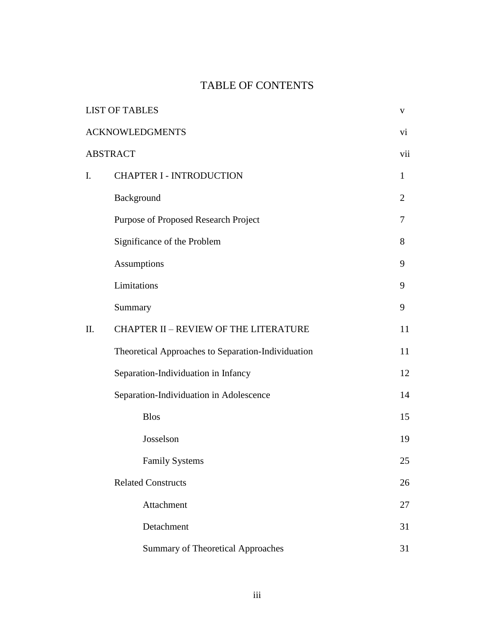# TABLE OF CONTENTS

|                 | <b>LIST OF TABLES</b>                              | $\mathbf{V}$   |
|-----------------|----------------------------------------------------|----------------|
|                 | <b>ACKNOWLEDGMENTS</b>                             | vi             |
| <b>ABSTRACT</b> |                                                    | vii            |
| I.              | <b>CHAPTER I - INTRODUCTION</b>                    | $\mathbf{1}$   |
|                 | Background                                         | 2              |
|                 | Purpose of Proposed Research Project               | $\overline{7}$ |
|                 | Significance of the Problem                        | 8              |
|                 | Assumptions                                        | 9              |
|                 | Limitations                                        | 9              |
|                 | Summary                                            | 9              |
| II.             | <b>CHAPTER II - REVIEW OF THE LITERATURE</b>       | 11             |
|                 | Theoretical Approaches to Separation-Individuation | 11             |
|                 | Separation-Individuation in Infancy                | 12             |
|                 | Separation-Individuation in Adolescence            | 14             |
|                 | <b>Blos</b>                                        | 15             |
|                 | Josselson                                          | 19             |
|                 | <b>Family Systems</b>                              | 25             |
|                 | <b>Related Constructs</b>                          | 26             |
|                 | Attachment                                         | 27             |
|                 | Detachment                                         | 31             |
|                 | <b>Summary of Theoretical Approaches</b>           | 31             |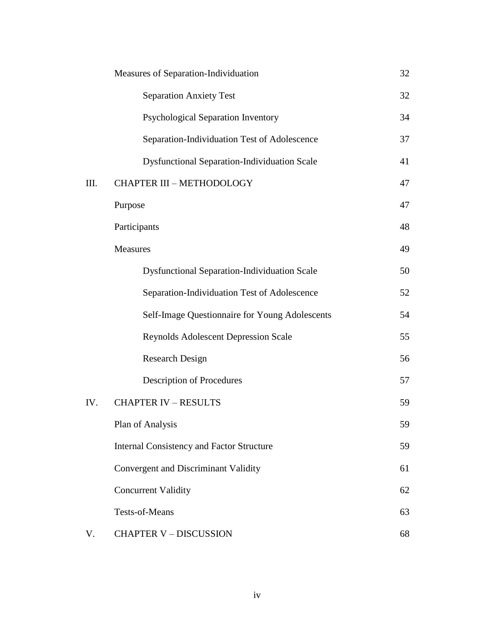|     | Measures of Separation-Individuation                | 32 |
|-----|-----------------------------------------------------|----|
|     | <b>Separation Anxiety Test</b>                      | 32 |
|     | Psychological Separation Inventory                  | 34 |
|     | Separation-Individuation Test of Adolescence        | 37 |
|     | <b>Dysfunctional Separation-Individuation Scale</b> | 41 |
| Ш.  | <b>CHAPTER III - METHODOLOGY</b>                    | 47 |
|     | Purpose                                             | 47 |
|     | Participants                                        | 48 |
|     | Measures                                            | 49 |
|     | <b>Dysfunctional Separation-Individuation Scale</b> | 50 |
|     | Separation-Individuation Test of Adolescence        | 52 |
|     | Self-Image Questionnaire for Young Adolescents      | 54 |
|     | <b>Reynolds Adolescent Depression Scale</b>         | 55 |
|     | <b>Research Design</b>                              | 56 |
|     | <b>Description of Procedures</b>                    | 57 |
| IV. | <b>CHAPTER IV - RESULTS</b>                         | 59 |
|     | Plan of Analysis                                    | 59 |
|     | <b>Internal Consistency and Factor Structure</b>    | 59 |
|     | Convergent and Discriminant Validity                | 61 |
|     | <b>Concurrent Validity</b>                          | 62 |
|     | <b>Tests-of-Means</b>                               | 63 |
| V.  | <b>CHAPTER V - DISCUSSION</b>                       | 68 |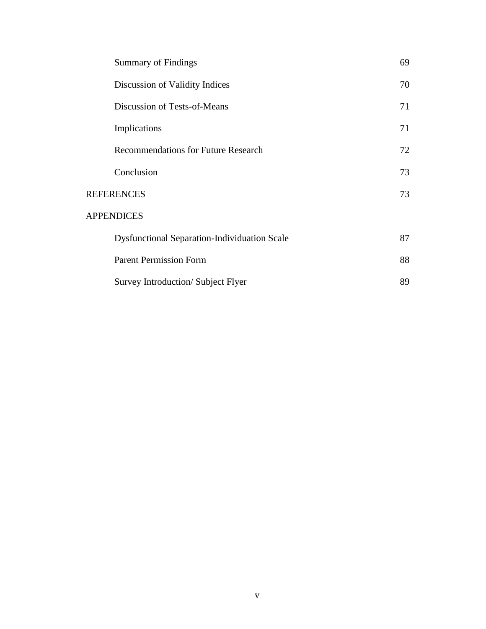| <b>Summary of Findings</b>                          | 69 |
|-----------------------------------------------------|----|
| Discussion of Validity Indices                      | 70 |
| Discussion of Tests-of-Means                        | 71 |
| Implications                                        | 71 |
| <b>Recommendations for Future Research</b>          | 72 |
| Conclusion                                          | 73 |
| <b>REFERENCES</b>                                   | 73 |
| <b>APPENDICES</b>                                   |    |
| <b>Dysfunctional Separation-Individuation Scale</b> | 87 |
| <b>Parent Permission Form</b>                       | 88 |
| Survey Introduction/Subject Flyer                   | 89 |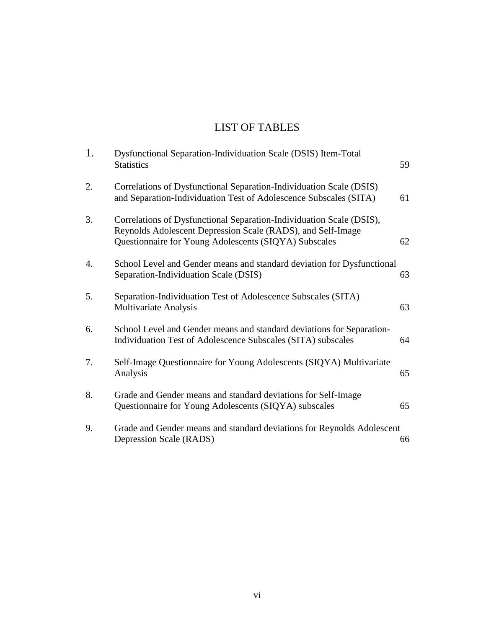## LIST OF TABLES

| 1. | Dysfunctional Separation-Individuation Scale (DSIS) Item-Total<br><b>Statistics</b>                                                                                                          | 59 |
|----|----------------------------------------------------------------------------------------------------------------------------------------------------------------------------------------------|----|
| 2. | Correlations of Dysfunctional Separation-Individuation Scale (DSIS)<br>and Separation-Individuation Test of Adolescence Subscales (SITA)                                                     | 61 |
| 3. | Correlations of Dysfunctional Separation-Individuation Scale (DSIS),<br>Reynolds Adolescent Depression Scale (RADS), and Self-Image<br>Questionnaire for Young Adolescents (SIQYA) Subscales | 62 |
| 4. | School Level and Gender means and standard deviation for Dysfunctional<br>Separation-Individuation Scale (DSIS)                                                                              | 63 |
| 5. | Separation-Individuation Test of Adolescence Subscales (SITA)<br>Multivariate Analysis                                                                                                       | 63 |
| 6. | School Level and Gender means and standard deviations for Separation-<br>Individuation Test of Adolescence Subscales (SITA) subscales                                                        | 64 |
| 7. | Self-Image Questionnaire for Young Adolescents (SIQYA) Multivariate<br>Analysis                                                                                                              | 65 |
| 8. | Grade and Gender means and standard deviations for Self-Image<br>Questionnaire for Young Adolescents (SIQYA) subscales                                                                       | 65 |
| 9. | Grade and Gender means and standard deviations for Reynolds Adolescent<br>Depression Scale (RADS)                                                                                            | 66 |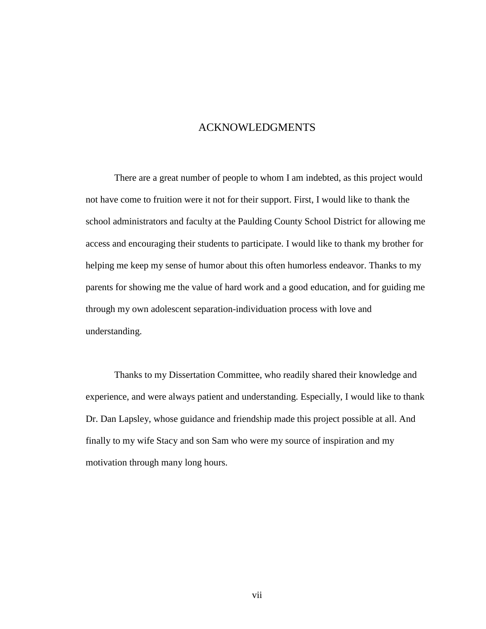### ACKNOWLEDGMENTS

There are a great number of people to whom I am indebted, as this project would not have come to fruition were it not for their support. First, I would like to thank the school administrators and faculty at the Paulding County School District for allowing me access and encouraging their students to participate. I would like to thank my brother for helping me keep my sense of humor about this often humorless endeavor. Thanks to my parents for showing me the value of hard work and a good education, and for guiding me through my own adolescent separation-individuation process with love and understanding.

Thanks to my Dissertation Committee, who readily shared their knowledge and experience, and were always patient and understanding. Especially, I would like to thank Dr. Dan Lapsley, whose guidance and friendship made this project possible at all. And finally to my wife Stacy and son Sam who were my source of inspiration and my motivation through many long hours.